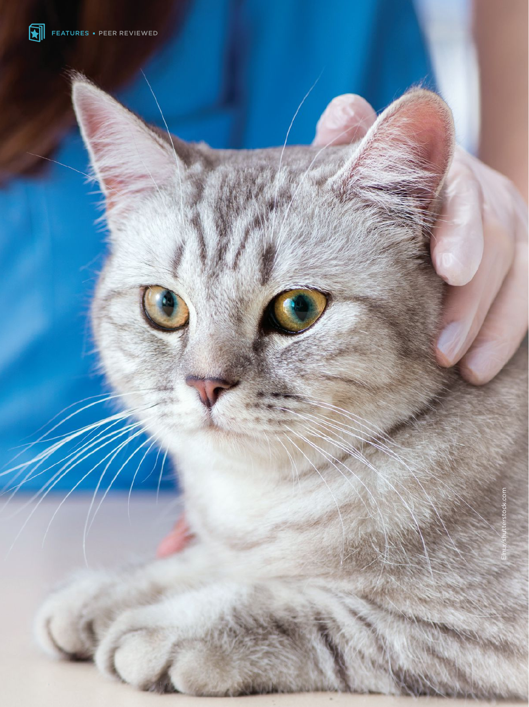

**58 and 2020 and 2020 and 2020 and 2020 and 2020 and 2020 and 2020 and 2020 and 2020 and 2020 and 2020 and**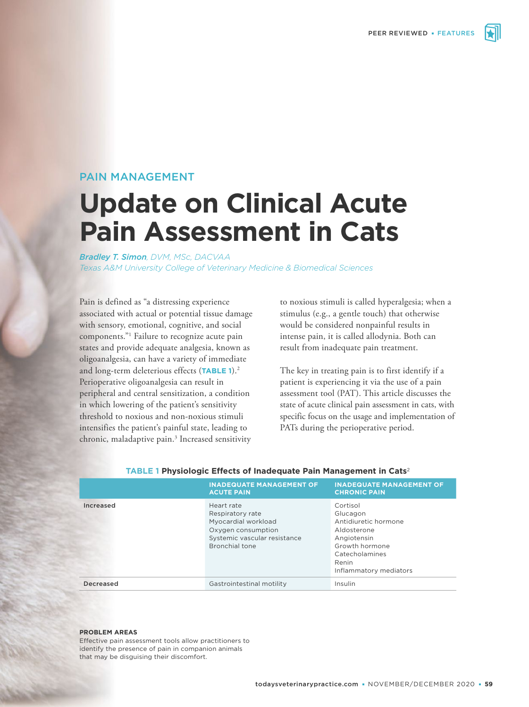

# PAIN MANAGEMENT

# **Update on Clinical Acute Pain Assessment in Cats**

*Bradley T. Simon, DVM, MSc, DACVAA Texas A&M University College of Veterinary Medicine & Biomedical Sciences*

Pain is defined as "a distressing experience associated with actual or potential tissue damage with sensory, emotional, cognitive, and social components."1 Failure to recognize acute pain states and provide adequate analgesia, known as oligoanalgesia, can have a variety of immediate and long-term deleterious effects (**TABLE 1**).2 Perioperative oligoanalgesia can result in peripheral and central sensitization, a condition in which lowering of the patient's sensitivity threshold to noxious and non-noxious stimuli intensifies the patient's painful state, leading to chronic, maladaptive pain.<sup>3</sup> Increased sensitivity to noxious stimuli is called hyperalgesia; when a stimulus (e.g., a gentle touch) that otherwise would be considered nonpainful results in intense pain, it is called allodynia. Both can result from inadequate pain treatment.

The key in treating pain is to first identify if a patient is experiencing it via the use of a pain assessment tool (PAT). This article discusses the state of acute clinical pain assessment in cats, with specific focus on the usage and implementation of PATs during the perioperative period.

|           | <b>INADEQUATE MANAGEMENT OF</b><br><b>ACUTE PAIN</b>                                                                          | <b>INADEQUATE MANAGEMENT OF</b><br><b>CHRONIC PAIN</b>                                                                                            |
|-----------|-------------------------------------------------------------------------------------------------------------------------------|---------------------------------------------------------------------------------------------------------------------------------------------------|
| Increased | Heart rate<br>Respiratory rate<br>Myocardial workload<br>Oxygen consumption<br>Systemic vascular resistance<br>Bronchial tone | Cortisol<br>Glucagon<br>Antidiuretic hormone<br>Aldosterone<br>Angiotensin<br>Growth hormone<br>Catecholamines<br>Renin<br>Inflammatory mediators |
| Decreased | Gastrointestinal motility                                                                                                     | Insulin                                                                                                                                           |

#### **TABLE 1 Physiologic Effects of Inadequate Pain Management in Cats**<sup>2</sup>

#### **PROBLEM AREAS**

Effective pain assessment tools allow practitioners to identify the presence of pain in companion animals that may be disguising their discomfort.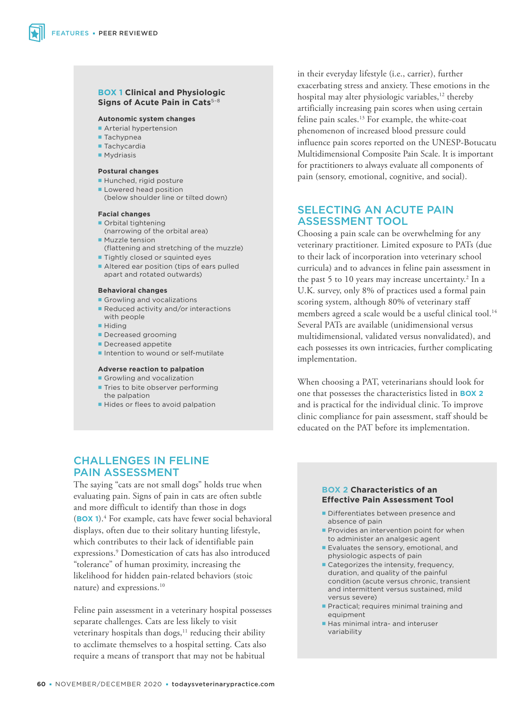#### **BOX 1 Clinical and Physiologic Signs of Acute Pain in Cats**<sup>5-8</sup>

#### **Autonomic system changes**

- **Arterial hypertension**
- **Tachypnea**
- **Tachycardia**
- **Mydriasis**

#### **Postural changes**

- Hunched, rigid posture
- **Lowered head position**
- (below shoulder line or tilted down)

#### **Facial changes**

- Orbital tightening (narrowing of the orbital area)
- **Muzzle tension** (flattening and stretching of the muzzle)
- **Tightly closed or squinted eyes**
- Altered ear position (tips of ears pulled apart and rotated outwards)

#### **Behavioral changes**

- Growling and vocalizations
- Reduced activity and/or interactions with people
- **Hiding**
- **Decreased grooming**
- Decreased appetite
- Intention to wound or self-mutilate

#### **Adverse reaction to palpation**

- Growling and vocalization **Tries to bite observer performing** the palpation
- Hides or flees to avoid palpation

# CHALLENGES IN FELINE PAIN ASSESSMENT

The saying "cats are not small dogs" holds true when evaluating pain. Signs of pain in cats are often subtle and more difficult to identify than those in dogs (**BOX 1**).<sup>4</sup> For example, cats have fewer social behavioral displays, often due to their solitary hunting lifestyle, which contributes to their lack of identifiable pain expressions.9 Domestication of cats has also introduced "tolerance" of human proximity, increasing the likelihood for hidden pain-related behaviors (stoic nature) and expressions.10

Feline pain assessment in a veterinary hospital possesses separate challenges. Cats are less likely to visit veterinary hospitals than  $\log s$ ,<sup>11</sup> reducing their ability to acclimate themselves to a hospital setting. Cats also require a means of transport that may not be habitual

in their everyday lifestyle (i.e., carrier), further exacerbating stress and anxiety. These emotions in the hospital may alter physiologic variables, $12$  thereby artificially increasing pain scores when using certain feline pain scales.<sup>13</sup> For example, the white-coat phenomenon of increased blood pressure could influence pain scores reported on the UNESP-Botucatu Multidimensional Composite Pain Scale. It is important for practitioners to always evaluate all components of pain (sensory, emotional, cognitive, and social).

# SELECTING AN ACUTE PAIN ASSESSMENT TOOL

Choosing a pain scale can be overwhelming for any veterinary practitioner. Limited exposure to PATs (due to their lack of incorporation into veterinary school curricula) and to advances in feline pain assessment in the past 5 to 10 years may increase uncertainty.<sup>2</sup> In a U.K. survey, only 8% of practices used a formal pain scoring system, although 80% of veterinary staff members agreed a scale would be a useful clinical tool.<sup>14</sup> Several PATs are available (unidimensional versus multidimensional, validated versus nonvalidated), and each possesses its own intricacies, further complicating implementation.

When choosing a PAT, veterinarians should look for one that possesses the characteristics listed in **BOX 2** and is practical for the individual clinic. To improve clinic compliance for pain assessment, staff should be educated on the PAT before its implementation.

## **BOX 2 Characteristics of an Effective Pain Assessment Tool**

- Differentiates between presence and absence of pain
- **Provides an intervention point for when** to administer an analgesic agent
- **Evaluates the sensory, emotional, and** physiologic aspects of pain
- Categorizes the intensity, frequency, duration, and quality of the painful condition (acute versus chronic, transient and intermittent versus sustained, mild versus severe)
- **Practical: requires minimal training and** equipment
- Has minimal intra- and interuser variability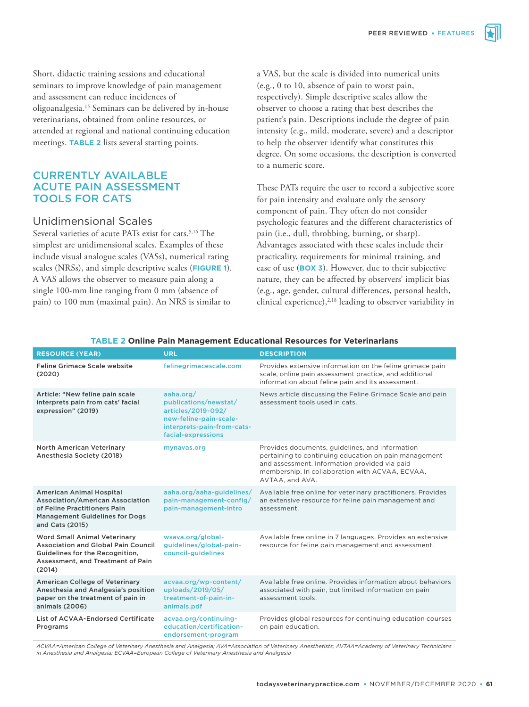Short, didactic training sessions and educational seminars to improve knowledge of pain management and assessment can reduce incidences of oligoanalgesia.15 Seminars can be delivered by in-house veterinarians, obtained from online resources, or attended at regional and national continuing education meetings. **TABLE 2** lists several starting points.

# CURRENTLY AVAILABLE ACUTE PAIN ASSESSMENT TOOLS FOR CATS

# Unidimensional Scales

Several varieties of acute PATs exist for cats.<sup>5,16</sup> The simplest are unidimensional scales. Examples of these include visual analogue scales (VASs), numerical rating scales (NRSs), and simple descriptive scales (**FIGURE 1**). A VAS allows the observer to measure pain along a single 100-mm line ranging from 0 mm (absence of pain) to 100 mm (maximal pain). An NRS is similar to

a VAS, but the scale is divided into numerical units (e.g., 0 to 10, absence of pain to worst pain, respectively). Simple descriptive scales allow the observer to choose a rating that best describes the patient's pain. Descriptions include the degree of pain intensity (e.g., mild, moderate, severe) and a descriptor to help the observer identify what constitutes this degree. On some occasions, the description is converted to a numeric score.

These PATs require the user to record a subjective score for pain intensity and evaluate only the sensory component of pain. They often do not consider psychologic features and the different characteristics of pain (i.e., dull, throbbing, burning, or sharp). Advantages associated with these scales include their practicality, requirements for minimal training, and ease of use (**BOX 3**). However, due to their subjective nature, they can be affected by observers' implicit bias (e.g., age, gender, cultural differences, personal health, clinical experience),<sup>2,18</sup> leading to observer variability in

| <b>RESOURCE (YEAR)</b>                                                                                                                                          | <b>URL</b>                                                                                                                             | <b>DESCRIPTION</b>                                                                                                                                                                                                              |
|-----------------------------------------------------------------------------------------------------------------------------------------------------------------|----------------------------------------------------------------------------------------------------------------------------------------|---------------------------------------------------------------------------------------------------------------------------------------------------------------------------------------------------------------------------------|
| Feline Grimace Scale website<br>(2020)                                                                                                                          | felinegrimacescale.com                                                                                                                 | Provides extensive information on the feline grimace pain<br>scale, online pain assessment practice, and additional<br>information about feline pain and its assessment.                                                        |
| Article: "New feline pain scale<br>interprets pain from cats' facial<br>expression" (2019)                                                                      | aaha.org/<br>publications/newstat/<br>articles/2019-092/<br>new-feline-pain-scale-<br>interprets-pain-from-cats-<br>facial-expressions | News article discussing the Feline Grimace Scale and pain<br>assessment tools used in cats.                                                                                                                                     |
| <b>North American Veterinary</b><br>Anesthesia Society (2018)                                                                                                   | mynavas.org                                                                                                                            | Provides documents, guidelines, and information<br>pertaining to continuing education on pain management<br>and assessment. Information provided via paid<br>membership. In collaboration with ACVAA, ECVAA,<br>AVTAA, and AVA. |
| <b>American Animal Hospital</b><br>Association/American Association<br>of Feline Practitioners Pain<br><b>Management Guidelines for Dogs</b><br>and Cats (2015) | aaha.org/aaha-guidelines/<br>pain-management-config/<br>pain-management-intro                                                          | Available free online for veterinary practitioners. Provides<br>an extensive resource for feline pain management and<br>assessment.                                                                                             |
| <b>Word Small Animal Veterinary</b><br>Association and Global Pain Council<br>Guidelines for the Recognition,<br>Assessment, and Treatment of Pain<br>(2014)    | wsava.org/global-<br>guidelines/global-pain-<br>council-guidelines                                                                     | Available free online in 7 languages. Provides an extensive<br>resource for feline pain management and assessment.                                                                                                              |
| American College of Veterinary<br>Anesthesia and Analgesia's position<br>paper on the treatment of pain in<br>animals (2006)                                    | acvaa.org/wp-content/<br>uploads/2019/05/<br>treatment-of-pain-in-<br>animals.pdf                                                      | Available free online. Provides information about behaviors<br>associated with pain, but limited information on pain<br>assessment tools.                                                                                       |
| List of ACVAA-Endorsed Certificate<br>Programs                                                                                                                  | acvaa.org/continuing-<br>education/certification-<br>endorsement-program                                                               | Provides global resources for continuing education courses<br>on pain education.                                                                                                                                                |

#### **TABLE 2 Online Pain Management Educational Resources for Veterinarians**

ACVAA=American College of Veterinary Anesthesia and Analgesia; AVA=Association of Veterinary Anesthetists; AVTAA=Academy of Veterinary Technicians<br>in Anesthesia and Analgesia; ECVAA=European College of Veterinary Anesthesi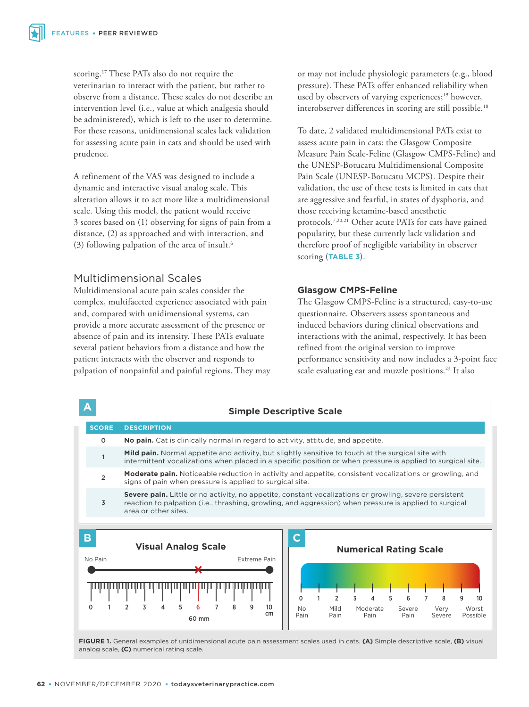scoring.17 These PATs also do not require the veterinarian to interact with the patient, but rather to observe from a distance. These scales do not describe an intervention level (i.e., value at which analgesia should be administered), which is left to the user to determine. For these reasons, unidimensional scales lack validation for assessing acute pain in cats and should be used with prudence.

A refinement of the VAS was designed to include a dynamic and interactive visual analog scale. This alteration allows it to act more like a multidimensional scale. Using this model, the patient would receive 3 scores based on (1) observing for signs of pain from a distance, (2) as approached and with interaction, and (3) following palpation of the area of insult.6

# Multidimensional Scales

Multidimensional acute pain scales consider the complex, multifaceted experience associated with pain and, compared with unidimensional systems, can provide a more accurate assessment of the presence or absence of pain and its intensity. These PATs evaluate several patient behaviors from a distance and how the patient interacts with the observer and responds to palpation of nonpainful and painful regions. They may or may not include physiologic parameters (e.g., blood pressure). These PATs offer enhanced reliability when used by observers of varying experiences;<sup>19</sup> however, interobserver differences in scoring are still possible.<sup>18</sup>

To date, 2 validated multidimensional PATs exist to assess acute pain in cats: the Glasgow Composite Measure Pain Scale-Feline (Glasgow CMPS-Feline) and the UNESP-Botucatu Multidimensional Composite Pain Scale (UNESP-Botucatu MCPS). Despite their validation, the use of these tests is limited in cats that are aggressive and fearful, in states of dysphoria, and those receiving ketamine-based anesthetic protocols.7,20,21 Other acute PATs for cats have gained popularity, but these currently lack validation and therefore proof of negligible variability in observer scoring (**TABLE 3**).

## **Glasgow CMPS-Feline**

The Glasgow CMPS-Feline is a structured, easy-to-use questionnaire. Observers assess spontaneous and induced behaviors during clinical observations and interactions with the animal, respectively. It has been refined from the original version to improve performance sensitivity and now includes a 3-point face scale evaluating ear and muzzle positions.<sup>23</sup> It also



**FIGURE 1.** General examples of unidimensional acute pain assessment scales used in cats. **(A)** Simple descriptive scale, **(B)** visual analog scale, **(C)** numerical rating scale.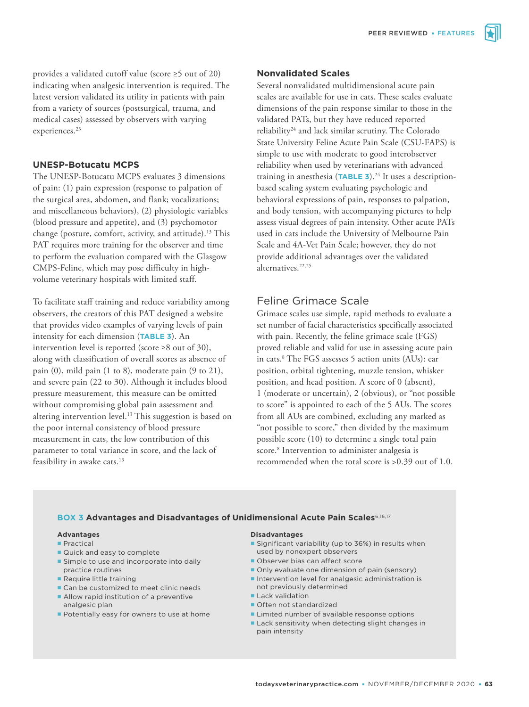provides a validated cutoff value (score ≥5 out of 20) indicating when analgesic intervention is required. The latest version validated its utility in patients with pain from a variety of sources (postsurgical, trauma, and medical cases) assessed by observers with varying experiences.<sup>23</sup>

### **UNESP-Botucatu MCPS**

The UNESP-Botucatu MCPS evaluates 3 dimensions of pain: (1) pain expression (response to palpation of the surgical area, abdomen, and flank; vocalizations; and miscellaneous behaviors), (2) physiologic variables (blood pressure and appetite), and (3) psychomotor change (posture, comfort, activity, and attitude).<sup>13</sup> This PAT requires more training for the observer and time to perform the evaluation compared with the Glasgow CMPS-Feline, which may pose difficulty in highvolume veterinary hospitals with limited staff.

To facilitate staff training and reduce variability among observers, the creators of this PAT designed a website that provides video examples of varying levels of pain intensity for each dimension (**TABLE 3**). An intervention level is reported (score ≥8 out of 30), along with classification of overall scores as absence of pain (0), mild pain (1 to 8), moderate pain (9 to 21), and severe pain (22 to 30). Although it includes blood pressure measurement, this measure can be omitted without compromising global pain assessment and altering intervention level.<sup>13</sup> This suggestion is based on the poor internal consistency of blood pressure measurement in cats, the low contribution of this parameter to total variance in score, and the lack of feasibility in awake cats.<sup>13</sup>

### **Nonvalidated Scales**

Several nonvalidated multidimensional acute pain scales are available for use in cats. These scales evaluate dimensions of the pain response similar to those in the validated PATs, but they have reduced reported reliability24 and lack similar scrutiny. The Colorado State University Feline Acute Pain Scale (CSU-FAPS) is simple to use with moderate to good interobserver reliability when used by veterinarians with advanced training in anesthesia (TABLE 3).<sup>24</sup> It uses a descriptionbased scaling system evaluating psychologic and behavioral expressions of pain, responses to palpation, and body tension, with accompanying pictures to help assess visual degrees of pain intensity. Other acute PATs used in cats include the University of Melbourne Pain Scale and 4A-Vet Pain Scale; however, they do not provide additional advantages over the validated alternatives<sup>22,25</sup>

# Feline Grimace Scale

Grimace scales use simple, rapid methods to evaluate a set number of facial characteristics specifically associated with pain. Recently, the feline grimace scale (FGS) proved reliable and valid for use in assessing acute pain in cats.8 The FGS assesses 5 action units (AUs): ear position, orbital tightening, muzzle tension, whisker position, and head position. A score of 0 (absent), 1 (moderate or uncertain), 2 (obvious), or "not possible to score" is appointed to each of the 5 AUs. The scores from all AUs are combined, excluding any marked as "not possible to score," then divided by the maximum possible score (10) to determine a single total pain score.<sup>8</sup> Intervention to administer analgesia is recommended when the total score is >0.39 out of 1.0.

## **BOX 3 Advantages and Disadvantages of Unidimensional Acute Pain Scales**6,16,17

### **Advantages**

- **Practical**
- Quick and easy to complete
- Simple to use and incorporate into daily practice routines
- **Require little training**
- Can be customized to meet clinic needs
- **Allow rapid institution of a preventive** analgesic plan
- **Potentially easy for owners to use at home**

#### **Disadvantages**

- **Significant variability (up to 36%) in results when** used by nonexpert observers
- Observer bias can affect score
- Only evaluate one dimension of pain (sensory)
- **Intervention level for analgesic administration is** not previously determined
- **Lack validation**
- Often not standardized
- **Limited number of available response options**
- Lack sensitivity when detecting slight changes in pain intensity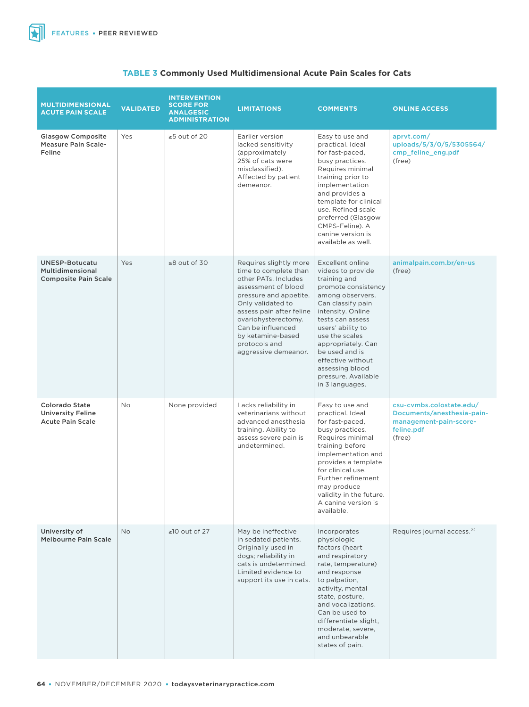$\blacktriangleright$ 

| <b>MULTIDIMENSIONAL</b><br><b>ACUTE PAIN SCALE</b>                              | <b>VALIDATED</b>                 | <b>INTERVENTION</b><br><b>SCORE FOR</b><br><b>ANALGESIC</b><br><b>ADMINISTRATION</b> | <b>LIMITATIONS</b>                                                                                                                                                                                                                                                                                                                                                                                                                                                                                                                                                                                                     | <b>COMMENTS</b>                                                                                                                                                                                                                                                                           | <b>ONLINE ACCESS</b>                                                                                     |  |
|---------------------------------------------------------------------------------|----------------------------------|--------------------------------------------------------------------------------------|------------------------------------------------------------------------------------------------------------------------------------------------------------------------------------------------------------------------------------------------------------------------------------------------------------------------------------------------------------------------------------------------------------------------------------------------------------------------------------------------------------------------------------------------------------------------------------------------------------------------|-------------------------------------------------------------------------------------------------------------------------------------------------------------------------------------------------------------------------------------------------------------------------------------------|----------------------------------------------------------------------------------------------------------|--|
| <b>Glasgow Composite</b><br><b>Measure Pain Scale-</b><br>Feline                | Yes                              | $\geq$ 5 out of 20                                                                   | Earlier version<br>Easy to use and<br>lacked sensitivity<br>practical, Ideal<br>(approximately<br>for fast-paced,<br>25% of cats were<br>busy practices.<br>misclassified).<br>Requires minimal<br>Affected by patient<br>training prior to<br>demeanor.<br>implementation<br>and provides a<br>template for clinical<br>use. Refined scale<br>preferred (Glasgow<br>CMPS-Feline). A<br>canine version is<br>available as well.                                                                                                                                                                                        |                                                                                                                                                                                                                                                                                           | aprvt.com/<br>uploads/5/3/0/5/5305564/<br>cmp feline eng.pdf<br>(free)                                   |  |
| <b>UNESP-Botucatu</b><br><b>Multidimensional</b><br><b>Composite Pain Scale</b> | Yes                              | $\geq 8$ out of 30                                                                   | Excellent online<br>Requires slightly more<br>time to complete than<br>videos to provide<br>other PATs. Includes<br>training and<br>assessment of blood<br>promote consistency<br>pressure and appetite.<br>among observers.<br>Only validated to<br>Can classify pain<br>assess pain after feline<br>intensity. Online<br>ovariohysterectomy.<br>tests can assess<br>Can be influenced<br>users' ability to<br>by ketamine-based<br>use the scales<br>protocols and<br>appropriately. Can<br>be used and is<br>aggressive demeanor.<br>effective without<br>assessing blood<br>pressure. Available<br>in 3 languages. |                                                                                                                                                                                                                                                                                           | animalpain.com.br/en-us<br>(free)                                                                        |  |
| <b>Colorado State</b><br><b>University Feline</b><br><b>Acute Pain Scale</b>    | No                               | None provided                                                                        | Lacks reliability in<br>veterinarians without<br>advanced anesthesia<br>training. Ability to<br>assess severe pain is<br>undetermined.                                                                                                                                                                                                                                                                                                                                                                                                                                                                                 | Easy to use and<br>practical. Ideal<br>for fast-paced,<br>busy practices.<br>Requires minimal<br>training before<br>implementation and<br>provides a template<br>for clinical use.<br>Further refinement<br>may produce<br>validity in the future.<br>A canine version is<br>available.   | csu-cvmbs.colostate.edu/<br>Documents/anesthesia-pain-<br>management-pain-score-<br>feline.pdf<br>(free) |  |
| University of<br><b>Melbourne Pain Scale</b>                                    | $\geq$ 10 out of 27<br><b>No</b> |                                                                                      | May be ineffective<br>in sedated patients.<br>Originally used in<br>dogs; reliability in<br>cats is undetermined.<br>Limited evidence to<br>support its use in cats.                                                                                                                                                                                                                                                                                                                                                                                                                                                   | Incorporates<br>physiologic<br>factors (heart<br>and respiratory<br>rate, temperature)<br>and response<br>to palpation,<br>activity, mental<br>state, posture,<br>and vocalizations.<br>Can be used to<br>differentiate slight,<br>moderate, severe,<br>and unbearable<br>states of pain. | Requires journal access. <sup>22</sup>                                                                   |  |

## **TABLE 3 Commonly Used Multidimensional Acute Pain Scales for Cats**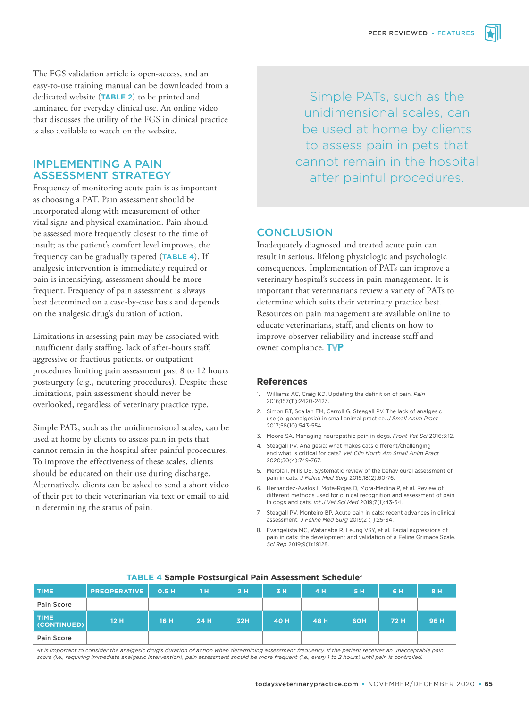The FGS validation article is open-access, and an easy-to-use training manual can be downloaded from a dedicated website (**TABLE 2**) to be printed and laminated for everyday clinical use. An online video that discusses the utility of the FGS in clinical practice is also available to watch on the website.

# IMPLEMENTING A PAIN ASSESSMENT STRATEGY

Frequency of monitoring acute pain is as important as choosing a PAT. Pain assessment should be incorporated along with measurement of other vital signs and physical examination. Pain should be assessed more frequently closest to the time of insult; as the patient's comfort level improves, the frequency can be gradually tapered (**TABLE 4**). If analgesic intervention is immediately required or pain is intensifying, assessment should be more frequent. Frequency of pain assessment is always best determined on a case-by-case basis and depends on the analgesic drug's duration of action.

Limitations in assessing pain may be associated with insufficient daily staffing, lack of after-hours staff, aggressive or fractious patients, or outpatient procedures limiting pain assessment past 8 to 12 hours postsurgery (e.g., neutering procedures). Despite these limitations, pain assessment should never be overlooked, regardless of veterinary practice type.

Simple PATs, such as the unidimensional scales, can be used at home by clients to assess pain in pets that cannot remain in the hospital after painful procedures. To improve the effectiveness of these scales, clients should be educated on their use during discharge. Alternatively, clients can be asked to send a short video of their pet to their veterinarian via text or email to aid in determining the status of pain.

Simple PATs, such as the unidimensional scales, can be used at home by clients to assess pain in pets that cannot remain in the hospital after painful procedures.

# **CONCLUSION**

Inadequately diagnosed and treated acute pain can result in serious, lifelong physiologic and psychologic consequences. Implementation of PATs can improve a veterinary hospital's success in pain management. It is important that veterinarians review a variety of PATs to determine which suits their veterinary practice best. Resources on pain management are available online to educate veterinarians, staff, and clients on how to improve observer reliability and increase staff and owner compliance. TVP

## **References**

- 1. Williams AC, Craig KD. Updating the definition of pain. *Pain* 2016;157(11):2420-2423.
- 2. Simon BT, Scallan EM, Carroll G, Steagall PV. The lack of analgesic use (oligoanalgesia) in small animal practice. *J Small Anim Pract* 2017;58(10):543-554.
- 3. Moore SA. Managing neuropathic pain in dogs. *Front Vet Sci* 2016;3:12.
- 4. Steagall PV. Analgesia: what makes cats different/challenging and what is critical for cats? *Vet Clin North Am Small Anim Pract* 2020;50(4):749-767.
- 5. Merola I, Mills DS. Systematic review of the behavioural assessment of pain in cats. *J Feline Med Surg* 2016;18(2):60-76.
- 6. Hernandez-Avalos I, Mota-Rojas D, Mora-Medina P, et al. Review of different methods used for clinical recognition and assessment of pain in dogs and cats. *Int J Vet Sci Med* 2019;7(1):43-54.
- 7. Steagall PV, Monteiro BP. Acute pain in cats: recent advances in clinical assessment. *J Feline Med Surg* 2019;21(1):25-34.
- 8. Evangelista MC, Watanabe R, Leung VSY, et al. Facial expressions of pain in cats: the development and validation of a Feline Grimace Scale. *Sci Rep* 2019;9(1):19128.

| <b>TIME</b>                | <b>PREOPERATIVE</b> | 0.5H | 1H   | 2H  | 3 H  | 4 H  | 5H  | 6 H  | 8 H  |
|----------------------------|---------------------|------|------|-----|------|------|-----|------|------|
| Pain Score                 |                     |      |      |     |      |      |     |      |      |
| <b>TIME</b><br>(CONTINUED) | 12H                 | 16 H | 24 H | 32H | 40 H | 48 H | 60H | 72 H | 96 H |
| Pain Score                 |                     |      |      |     |      |      |     |      |      |

## **TABLE 4 Sample Postsurgical Pain Assessment Schedule**<sup>a</sup>

alt is important to consider the analgesic drug's duration of action when determining assessment frequency. If the patient receives an unacceptable pain *score (i.e., requiring immediate analgesic intervention), pain assessment should be more frequent (i.e., every 1 to 2 hours) until pain is controlled.*